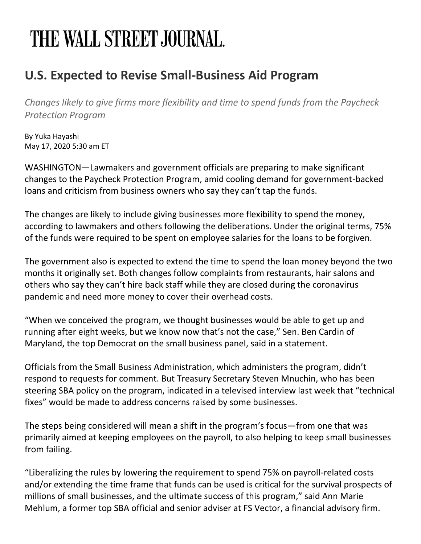## THE WALL STREET JOURNAL.

## **U.S. Expected to Revise Small-Business Aid Program**

*Changes likely to give firms more flexibility and time to spend funds from the Paycheck Protection Program*

By Yuka Hayashi May 17, 2020 5:30 am ET

WASHINGTON—Lawmakers and government officials are preparing to make significant changes to the Paycheck Protection Program, amid cooling demand for government-backed loans and criticism from business owners who say they can't tap the funds.

The changes are likely to include giving businesses more flexibility to spend the money, according to lawmakers and others following the deliberations. Under the original terms, 75% of the funds were required to be spent on employee salaries for the loans to be forgiven.

The government also is expected to extend the time to spend the loan money beyond the two months it originally set. Both changes follow complaints from restaurants, hair salons and others who say they can't hire back staff while they are closed during the coronavirus pandemic and need more money to cover their overhead costs.

"When we conceived the program, we thought businesses would be able to get up and running after eight weeks, but we know now that's not the case," Sen. Ben Cardin of Maryland, the top Democrat on the small business panel, said in a statement.

Officials from the Small Business Administration, which administers the program, didn't respond to requests for comment. But Treasury Secretary Steven Mnuchin, who has been steering SBA policy on the program, indicated in a televised interview last week that "technical fixes" would be made to address concerns raised by some businesses.

The steps being considered will mean a shift in the program's focus—from one that was primarily aimed at keeping employees on the payroll, to also helping to keep small businesses from failing.

"Liberalizing the rules by lowering the requirement to spend 75% on payroll-related costs and/or extending the time frame that funds can be used is critical for the survival prospects of millions of small businesses, and the ultimate success of this program," said Ann Marie Mehlum, a former top SBA official and senior adviser at FS Vector, a financial advisory firm.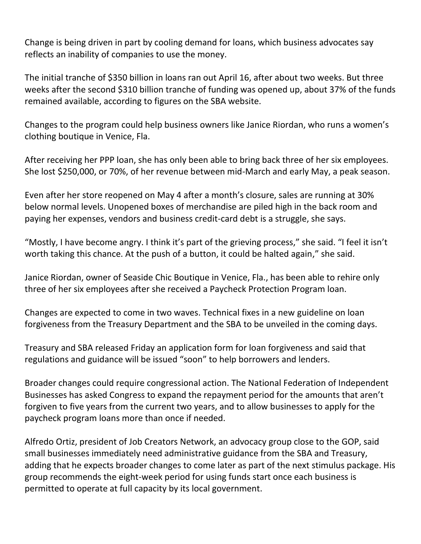Change is being driven in part by cooling demand for loans, which business advocates say reflects an inability of companies to use the money.

The initial tranche of \$350 billion in loans ran out April 16, after about two weeks. But three weeks after the second \$310 billion tranche of funding was opened up, about 37% of the funds remained available, according to figures on the SBA website.

Changes to the program could help business owners like Janice Riordan, who runs a women's clothing boutique in Venice, Fla.

After receiving her PPP loan, she has only been able to bring back three of her six employees. She lost \$250,000, or 70%, of her revenue between mid-March and early May, a peak season.

Even after her store reopened on May 4 after a month's closure, sales are running at 30% below normal levels. Unopened boxes of merchandise are piled high in the back room and paying her expenses, vendors and business credit-card debt is a struggle, she says.

"Mostly, I have become angry. I think it's part of the grieving process," she said. "I feel it isn't worth taking this chance. At the push of a button, it could be halted again," she said.

Janice Riordan, owner of Seaside Chic Boutique in Venice, Fla., has been able to rehire only three of her six employees after she received a Paycheck Protection Program loan.

Changes are expected to come in two waves. Technical fixes in a new guideline on loan forgiveness from the Treasury Department and the SBA to be unveiled in the coming days.

Treasury and SBA released Friday an application form for loan forgiveness and said that regulations and guidance will be issued "soon" to help borrowers and lenders.

Broader changes could require congressional action. The National Federation of Independent Businesses has asked Congress to expand the repayment period for the amounts that aren't forgiven to five years from the current two years, and to allow businesses to apply for the paycheck program loans more than once if needed.

Alfredo Ortiz, president of Job Creators Network, an advocacy group close to the GOP, said small businesses immediately need administrative guidance from the SBA and Treasury, adding that he expects broader changes to come later as part of the next stimulus package. His group recommends the eight-week period for using funds start once each business is permitted to operate at full capacity by its local government.